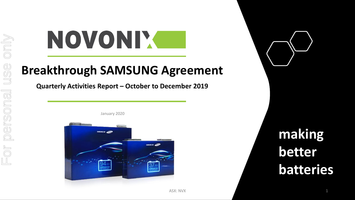# NOVONIX

## **Breakthrough SAMSUNG Agreement**

**Quarterly Activities Report – October to December 2019**



January 2020

**making better batteries**

ASX: NVX 22. 2012 12:30 12:30 12:30 12:30 12:30 12:30 12:30 12:30 12:30 12:30 12:30 12:30 12:30 12:30 12:30 12:30 12:30 12:30 12:30 12:30 12:30 12:30 12:30 12:30 12:30 12:30 12:30 12:30 12:30 12:30 12:30 12:30 12:30 12:30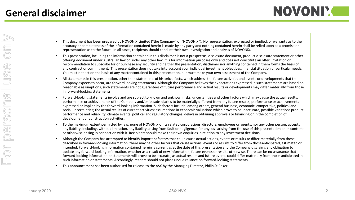- This document has been prepared by NOVONIX Limited ("the Company" or "NOVONIX"). No representation, expressed or implied, or warranty as to the accuracy or completeness of the information contained herein is made by any party and nothing contained herein shall be relied upon as a promise or representation as to the future. In all cases, recipients should conduct their own investigation and analysis of NOVONIX.
- This presentation, including the information contained in this disclaimer is not a prospectus, disclosure document, product disclosure statement or other offering document under Australian law or under any other law. It is for information purposes only and does not constitute an offer, invitation or recommendation to subscribe for or purchase any security and neither the presentation, disclaimer nor anything contained in them forms the basis of any contract or commitment. This presentation does not take into account your individual investment objectives, financial situation or particular needs. You must not act on the basis of any matter contained in this presentation, but must make your own assessment of the Company.
- All statements in this presentation, other than statements of historical facts, which address the future activities and events or developments that the Company expects to occur, are forward looking statements. Although the Company believes the expectations expressed in such statements are based on reasonable assumptions, such statements are not guarantees of future performance and actual results or developments may differ materially from those in forward-looking statements.
- Forward-looking statements involve and are subject to known and unknown risks, uncertainties and other factors which may cause the actual results, performance or achievements of the Company and/or its subsidiaries to be materially different from any future results, performance or achievements expressed or implied by the forward-looking information. Such factors include, among others, general business, economic, competitive, political and social uncertainties; the actual results of current activities; assumptions in economic valuations which prove to be inaccurate; possible variations product performance and reliability; climate events; political and regulatory changes; delays in obtaining approvals or financing or in the completion of development or construction activities.
- To the maximum extent permitted by law, none of NOVONIX or its related corporations, directors, employees or agents, nor any other person, accepts any liability, including, without limitation, any liability arising from fault or negligence, for any loss arising from the use of this presentation or its contents or otherwise arising in connection with it. Recipients should make their own enquiries in relation to any investment decisions.
- Although the Company has attempted to identify important factors that could cause actual actions, events or results to differ materially from those described in forward-looking information, there may be other factors that cause actions, events or results to differ from those anticipated, estimated or intended. Forward-looking information contained herein is current as at the date of this presentation and the Company disclaims any obligation to update any forward-looking information, whether as a result of new information, future events or results otherwise. There can be no assurance that forward-looking information or statements will prove to be accurate, as actual results and future events could differ materially from those anticipated in such information or statements. Accordingly, readers should not place undue reliance on forward-looking statements.
- This announcement has been authorised for release to the ASX by the Managing Director, Philip St Baker.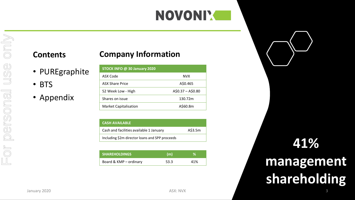## **NOVONIM**

#### **Contents**

- PUREgraphite
- BTS

#### • Appendix

| STOCK INFO @ 30 January 2020 |                   |
|------------------------------|-------------------|
| ASX Code                     | <b>NVX</b>        |
| <b>ASX Share Price</b>       | A\$0.465          |
| 52 Week Low - High           | $A$0.37 - A$0.80$ |
| Shares on issue              | 130.72m           |
| <b>Market Capitalisation</b> | A\$60.8m          |

| <b>CASH AVAILABLE</b>                          |         |
|------------------------------------------------|---------|
| Cash and facilities available 1 January        | A\$3.5m |
| Including \$2m director loans and SPP proceeds |         |

| <b>SHAREHOLDINGS</b>   | (m)  |     |
|------------------------|------|-----|
| Board & KMP - ordinary | 53.3 | 41% |

# **41% management shareholding**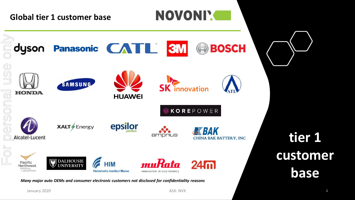

*Many major auto OEMs and consumer electronic customers not disclosed for confidentiality reasons*

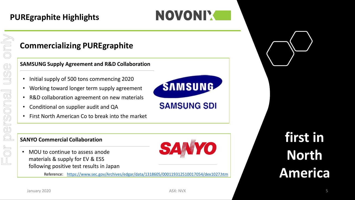## **PUREgraphite Highlights**

## **Commercializing PUREgraphite**

**SAMSUNG Supply Agreement and R&D Collaboration**

- Initial supply of 500 tons commencing 2020
- Working toward longer term supply agreement
- R&D collaboration agreement on new materials
- Conditional on supplier audit and QA
- First North American Co to break into the market



#### **SANYO Commercial Collaboration**

• MOU to continue to assess anode materials & supply for EV & ESS following positive test results in Japan



Reference: <https://www.sec.gov/Archives/edgar/data/1318605/000119312510017054/dex1027.htm>

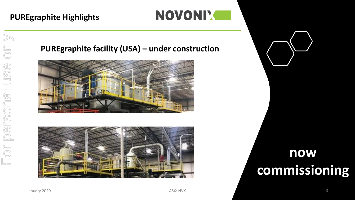#### **PUREgraphite Highlights**



#### **PUREgraphite facility (USA) – under construction**





## **now commissioning**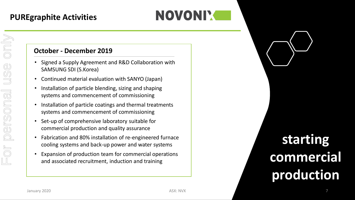## NOVONIX

#### **October - December 2019**

- Signed a Supply Agreement and R&D Collaboration with SAMSUNG SDI (S.Korea)
- Continued material evaluation with SANYO (Japan)
- Installation of particle blending, sizing and shaping systems and commencement of commissioning
- Installation of particle coatings and thermal treatments systems and commencement of commissioning
- Set-up of comprehensive laboratory suitable for commercial production and quality assurance
- Fabrication and 80% installation of re-engineered furnace cooling systems and back-up power and water systems
- Expansion of production team for commercial operations and associated recruitment, induction and training

# **starting commercial production**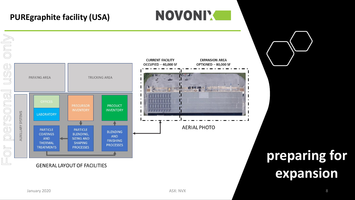### **PUREgraphite facility (USA)**



**NOVONIM**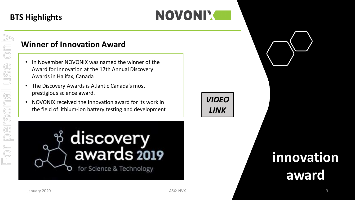## **BTS Highlights**

## NOVONIX

#### **Winner of Innovation Award**

- In November NOVONIX was named the winner of the Award for Innovation at the 17th Annual Discovery Awards in Halifax, Canada
- The Discovery Awards is Atlantic Canada's most prestigious science award.
- NOVONIX received the Innovation award for its work in the field of lithium-ion battery testing and development





## **innovation award**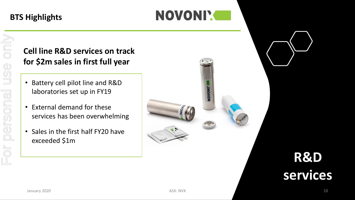#### **BTS Highlights**



## **Cell line R&D services on track for \$2m sales in first full year**

- Battery cell pilot line and R&D laboratories set up in FY19
- External demand for these services has been overwhelming
- Sales in the first half FY20 have exceeded \$1m



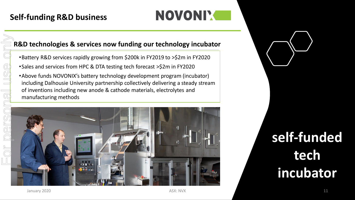#### **R&D technologies & services now funding our technology incubator**

- •Battery R&D services rapidly growing from \$200k in FY2019 to >\$2m in FY2020
- •Sales and services from HPC & DTA testing tech forecast >\$2m in FY2020
- •Above funds NOVONIX's battery technology development program (incubator) including Dalhousie University partnership collectively delivering a steady stream of inventions including new anode & cathode materials, electrolytes and manufacturing methods



## **self-funded tech incubator**

January 2020 **11 11 11 ASX: NVX ASX: NVX ASX: ASX: NVX 11 11** 

 $\underline{\mathbb{C}}$ 

NOVONIX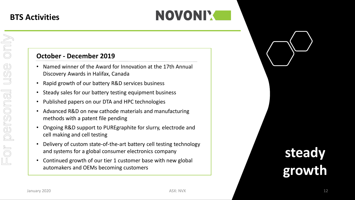### **BTS Activities**

#### **October - December 2019**

- Named winner of the Award for Innovation at the 17th Annual Discovery Awards in Halifax, Canada
- Rapid growth of our battery R&D services business
- Steady sales for our battery testing equipment business
- Published papers on our DTA and HPC technologies
- Advanced R&D on new cathode materials and manufacturing methods with a patent file pending
- Ongoing R&D support to PUREgraphite for slurry, electrode and cell making and cell testing
- Delivery of custom state-of-the-art battery cell testing technology and systems for a global consumer electronics company
- Continued growth of our tier 1 customer base with new global automakers and OEMs becoming customers

# **steady growth**

NOVONIX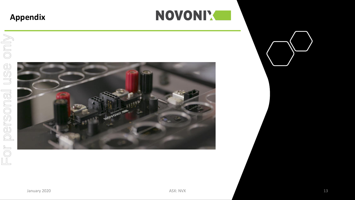#### **Appendix**



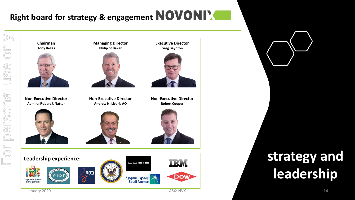## Right board for strategy & engagement **NOVONIX**

ONIO

USG

personal

 $E$ Or





# **leadership**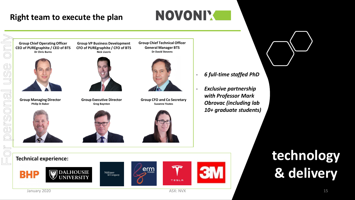#### **Right team to execute the plan**

## NOVONIX

**Group Chief Operating Officer CEO of PUREgraphite / CEO of BTS**



**Group Managing Director Philip St Baker**

**Dr Chris Burns**





**Group Executive Director Greg Baynton**





**Group CFO and Co Secretary Suzanne Yeates**



**Exclusive partnership** *with Professor Mark Obrovac (including lab 10+ graduate students)*





















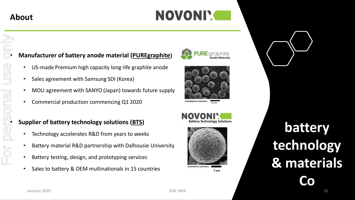## **About**

## NOVONIM

For personal use only $\mathbb{d}$  $U\overline{\mathbb{S}}$ • **MOU agreement with SANYO (Japan) towards r**<br>• **Commercial production commencing Q1 2020**<br>**Supplier of battery technology solutions (<u>BTS</u>)<br>• Technology accelerates R&D from years to week**  $FOF$ 

#### • **Manufacturer of battery anode material (PUREgraphite)**

- US-made Premium high capacity long-life graphite anode
- Sales agreement with Samsung SDI (Korea)
- MOU agreement with SANYO (Japan) towards future supply
- Commercial production commencing Q1 2020

- Technology accelerates R&D from years to weeks
- Battery material R&D partnership with Dalhousie University
- Battery testing, design, and prototyping services
- Sales to battery & OEM multinationals in 15 countries





**EXPERIMENTAL MATERIALS** 





 $5 \mu m$ 

# **battery technology & materials Co**